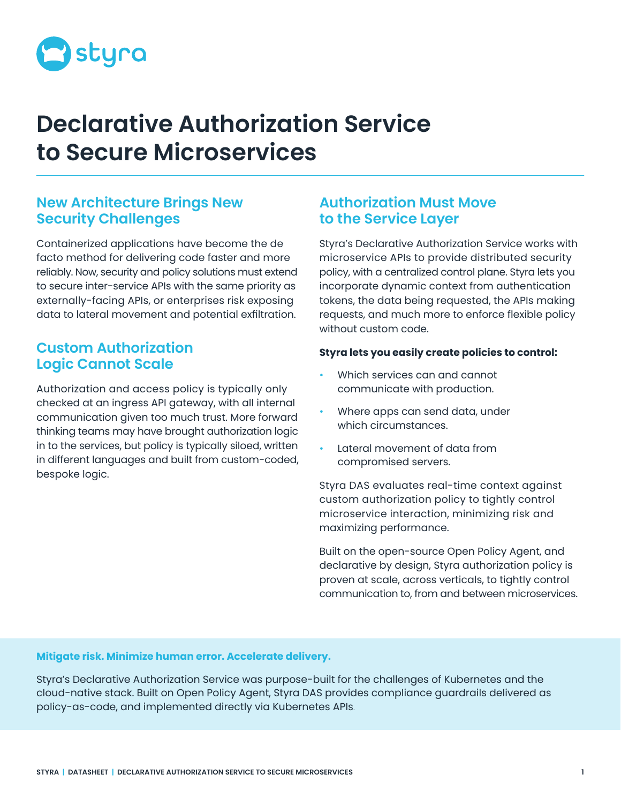

# **Declarative Authorization Service to Secure Microservices**

# **New Architecture Brings New Security Challenges**

Containerized applications have become the de facto method for delivering code faster and more reliably. Now, security and policy solutions must extend to secure inter-service APIs with the same priority as externally-facing APIs, or enterprises risk exposing data to lateral movement and potential exfiltration.

# **Custom Authorization Logic Cannot Scale**

Authorization and access policy is typically only checked at an ingress API gateway, with all internal communication given too much trust. More forward thinking teams may have brought authorization logic in to the services, but policy is typically siloed, written in different languages and built from custom-coded, bespoke logic.

# **Authorization Must Move to the Service Layer**

Styra's Declarative Authorization Service works with microservice APIs to provide distributed security policy, with a centralized control plane. Styra lets you incorporate dynamic context from authentication tokens, the data being requested, the APIs making requests, and much more to enforce flexible policy without custom code.

## **Styra lets you easily create policies to control:**

- Which services can and cannot communicate with production.
- Where apps can send data, under which circumstances.
- Lateral movement of data from compromised servers.

Styra DAS evaluates real-time context against custom authorization policy to tightly control microservice interaction, minimizing risk and maximizing performance.

Built on the open-source Open Policy Agent, and declarative by design, Styra authorization policy is proven at scale, across verticals, to tightly control communication to, from and between microservices.

## **Mitigate risk. Minimize human error. Accelerate delivery.**

Styra's Declarative Authorization Service was purpose-built for the challenges of Kubernetes and the cloud-native stack. Built on Open Policy Agent, Styra DAS provides compliance guardrails delivered as policy-as-code, and implemented directly via Kubernetes APIs.